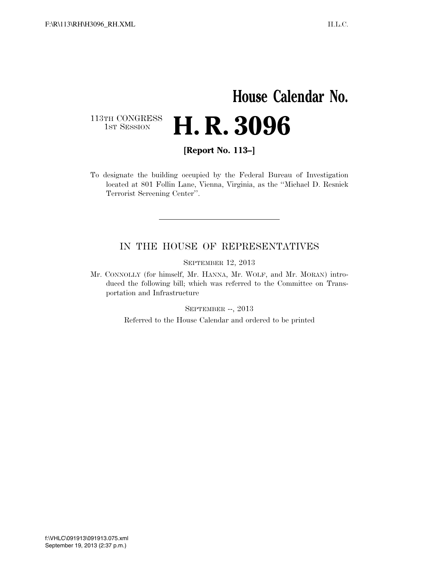## **House Calendar No.** 113TH CONGRESS<br>1st Session H. R. 3096

**[Report No. 113–]** 

To designate the building occupied by the Federal Bureau of Investigation located at 801 Follin Lane, Vienna, Virginia, as the ''Michael D. Resnick Terrorist Screening Center''.

#### IN THE HOUSE OF REPRESENTATIVES

SEPTEMBER 12, 2013

Mr. CONNOLLY (for himself, Mr. HANNA, Mr. WOLF, and Mr. MORAN) introduced the following bill; which was referred to the Committee on Transportation and Infrastructure

SEPTEMBER --, 2013

Referred to the House Calendar and ordered to be printed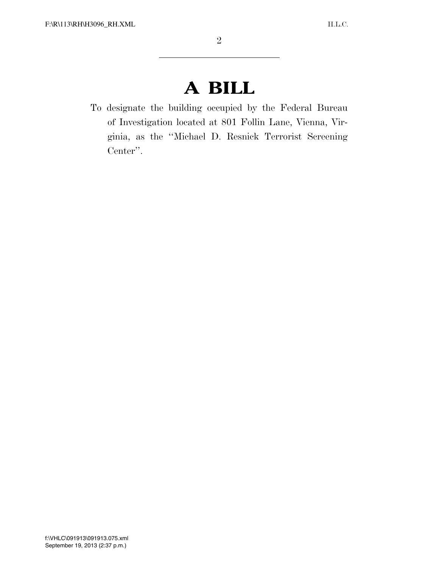# **A BILL**

To designate the building occupied by the Federal Bureau of Investigation located at 801 Follin Lane, Vienna, Virginia, as the ''Michael D. Resnick Terrorist Screening Center''.